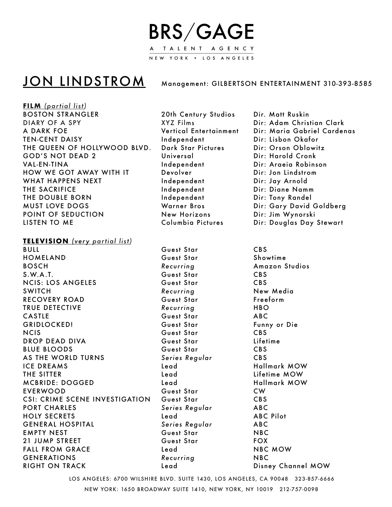## **BRS/GAGE** TALENT AGENCY NEW YORK . LOS ANGELES

## JON LINDSTROM Management: GILBERTSON ENTERTAINMENT 310-393-8585

**FILM** *(partial list)* BOSTON STRANGLER 20th Century Studios Dir. Matt Ruskin DIARY OF A SPY **A CONTACT CONTACT A SUBSET ASSESS** DIRECT DIRECT DIRECT DIRECT DIRECT DIRECT DIRECT DIRECT DIRECT D A DARK FOE **Xertical Entertainment** Dir: Maria Gabriel Cardenas TEN-CENT DAISY **BEN-CENT DAISY Research CONTENT DESIGNATES Independent Dir: Lisbon Okafor** THE QUEEN OF HOLLYWOOD BLVD. Dark Star Pictures Dir: Orson Oblowitz GOD'S NOT DEAD 2 The Universal Cronk Dir: Harold Cronk VAL-EN-TINA Independent Dir: Araeia Robinson HOW WE GOT AWAY WITH IT Devolver **Devaluation** Dir: Jon Lindstrom WHAT HAPPENS NEXT **All and According the University Contract Contract Contract Contract Contract Contract Contract Contract Contract Contract Contract Contract Contract Contract Contract Contract Contract Contract Contract** THE SACRIFICE *Independent* Dir: Diane Namm THE DOUBLE BORN **BEET ACCOMPTED THE SETTING THE DOUBLE BORN** MUST LOVE DOGS Warner Bros Dir: Gary David Goldberg POINT OF SEDUCTION **New Horizons** Dir: Jim Wynorski LISTEN TO ME Columbia Pictures Dir: Douglas Day Stewart

## **TELEVISION** *(very partial list)*

BULL Guest Star CBS HOMELAND **Business Cuest Star** Showtime **BOSCH Recurring** Amazon Studios S.W.A.T. CBS NCIS: LOS ANGELES Guest Star CBS SWITCH **BELL CONTAINER CONTAINS Recurring CONTAINS New Media** RECOVERY ROAD **Buest Star Cuest Star** *Freeform* TRUE DETECTIVE *Recurring* **HBO** CASTLE **But ABC** CASTLE *CASTLE* **CULL** GRIDLOCKED! Guest Star **Funny or Die** NCIS Guest Star CBS DROP DEAD DIVA Guest Star Lifetime BLUE BLOODS Guest Star CBS AS THE WORLD TURNS Series Regular CBS ICE DREAMS Bead **by Lead CE DREAMS** THE SITTER **Read Read Contains Lifetime MOW** MCBRIDE: DOGGED Lead Hallmark MOW EVERWOOD Guest Star CW CSI: CRIME SCENE INVESTIGATION Guest Star CBS PORT CHARLES **BEEFILM** Series Regular **ABC** HOLY SECRETS **Read Lead** ABC Pilot GENERAL HOSPITAL *Series Regular* **ABC** EMPTY NEST **BUSINESS** Guest Star **MBC** 21 JUMP STREET Guest Star FOX FALL FROM GRACE Lead NBC MOW GENERATIONS Recurring NBC RIGHT ON TRACK Lead Disney Channel MOW

LOS ANGELES: 6700 WILSHIRE BLVD. SUITE 1430, LOS ANGELES, CA 90048 323-857-6666 NEW YORK: 1650 BROADWAY SUITE 1410, NEW YORK, NY 10019 212-757-0098